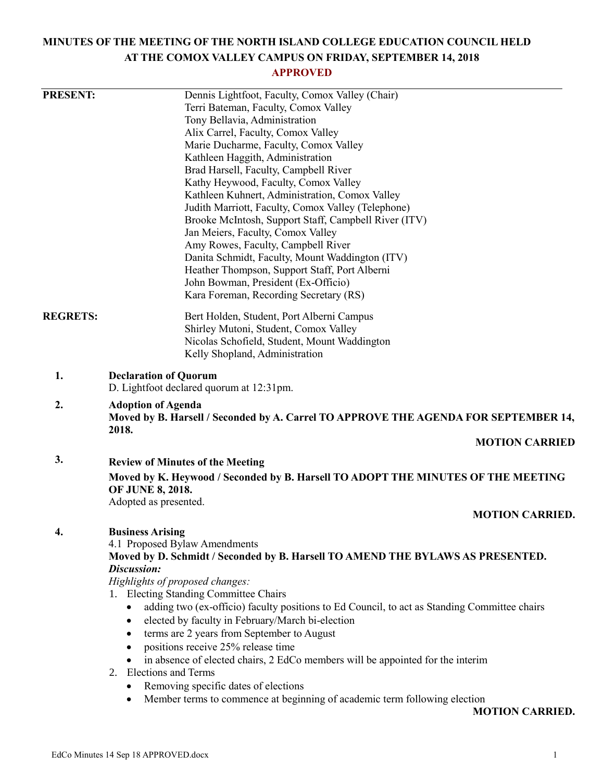# **MINUTES OF THE MEETING OF THE NORTH ISLAND COLLEGE EDUCATION COUNCIL HELD AT THE COMOX VALLEY CAMPUS ON FRIDAY, SEPTEMBER 14, 2018**

## **APPROVED**

| <b>PRESENT:</b> | Dennis Lightfoot, Faculty, Comox Valley (Chair)<br>Terri Bateman, Faculty, Comox Valley<br>Tony Bellavia, Administration<br>Alix Carrel, Faculty, Comox Valley<br>Marie Ducharme, Faculty, Comox Valley<br>Kathleen Haggith, Administration<br>Brad Harsell, Faculty, Campbell River<br>Kathy Heywood, Faculty, Comox Valley<br>Kathleen Kuhnert, Administration, Comox Valley<br>Judith Marriott, Faculty, Comox Valley (Telephone)<br>Brooke McIntosh, Support Staff, Campbell River (ITV)<br>Jan Meiers, Faculty, Comox Valley<br>Amy Rowes, Faculty, Campbell River<br>Danita Schmidt, Faculty, Mount Waddington (ITV)<br>Heather Thompson, Support Staff, Port Alberni<br>John Bowman, President (Ex-Officio)<br>Kara Foreman, Recording Secretary (RS)                                |
|-----------------|---------------------------------------------------------------------------------------------------------------------------------------------------------------------------------------------------------------------------------------------------------------------------------------------------------------------------------------------------------------------------------------------------------------------------------------------------------------------------------------------------------------------------------------------------------------------------------------------------------------------------------------------------------------------------------------------------------------------------------------------------------------------------------------------|
| <b>REGRETS:</b> | Bert Holden, Student, Port Alberni Campus<br>Shirley Mutoni, Student, Comox Valley<br>Nicolas Schofield, Student, Mount Waddington<br>Kelly Shopland, Administration                                                                                                                                                                                                                                                                                                                                                                                                                                                                                                                                                                                                                        |
| 1.              | <b>Declaration of Quorum</b><br>D. Lightfoot declared quorum at 12:31pm.                                                                                                                                                                                                                                                                                                                                                                                                                                                                                                                                                                                                                                                                                                                    |
| 2.              | <b>Adoption of Agenda</b><br>Moved by B. Harsell / Seconded by A. Carrel TO APPROVE THE AGENDA FOR SEPTEMBER 14,<br>2018.                                                                                                                                                                                                                                                                                                                                                                                                                                                                                                                                                                                                                                                                   |
|                 | <b>MOTION CARRIED</b>                                                                                                                                                                                                                                                                                                                                                                                                                                                                                                                                                                                                                                                                                                                                                                       |
| 3.              | <b>Review of Minutes of the Meeting</b><br>Moved by K. Heywood / Seconded by B. Harsell TO ADOPT THE MINUTES OF THE MEETING<br>OF JUNE 8, 2018.<br>Adopted as presented.<br><b>MOTION CARRIED.</b>                                                                                                                                                                                                                                                                                                                                                                                                                                                                                                                                                                                          |
| 4.              | <b>Business Arising</b><br>4.1 Proposed Bylaw Amendments<br>Moved by D. Schmidt / Seconded by B. Harsell TO AMEND THE BYLAWS AS PRESENTED.<br>Discussion:<br>Highlights of proposed changes:<br>1. Electing Standing Committee Chairs<br>adding two (ex-officio) faculty positions to Ed Council, to act as Standing Committee chairs<br>$\bullet$<br>elected by faculty in February/March bi-election<br>$\bullet$<br>terms are 2 years from September to August<br>٠<br>positions receive 25% release time<br>$\bullet$<br>in absence of elected chairs, 2 EdCo members will be appointed for the interim<br>$\bullet$<br><b>Elections and Terms</b><br>2.<br>Removing specific dates of elections<br>٠<br>Member terms to commence at beginning of academic term following election<br>٠ |

**MOTION CARRIED.**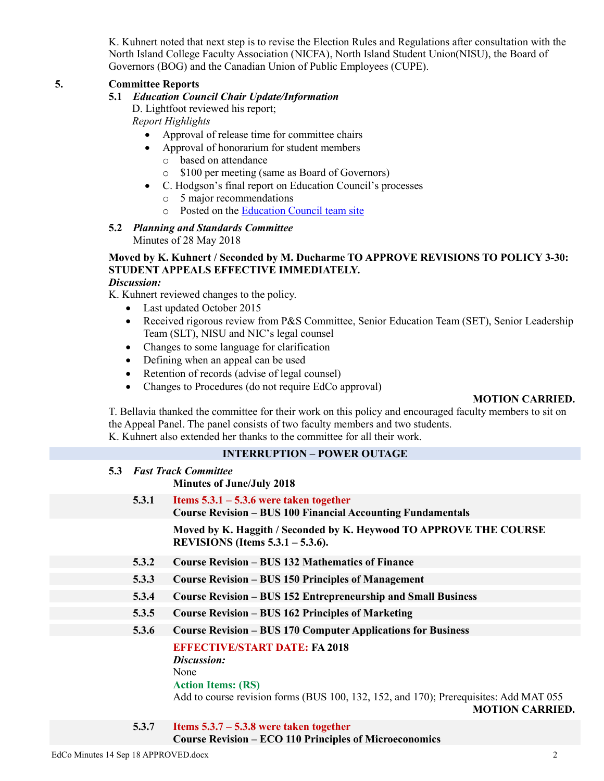K. Kuhnert noted that next step is to revise the Election Rules and Regulations after consultation with the North Island College Faculty Association (NICFA), North Island Student Union(NISU), the Board of Governors (BOG) and the Canadian Union of Public Employees (CUPE).

#### **5. Committee Reports**

#### **5.1** *Education Council Chair Update/Information*

D. Lightfoot reviewed his report; *Report Highlights*

- Approval of release time for committee chairs
- Approval of honorarium for student members
	- o based on attendance
	- o \$100 per meeting (same as Board of Governors)
- C. Hodgson's final report on Education Council's processes
	- o 5 major recommendations
	- o Posted on the [Education Council team site](https://mynic.nic.bc.ca/organizations/educationcouncil/default.aspx)

## **5.2** *Planning and Standards Committee*

Minutes of 28 May 2018

## **Moved by K. Kuhnert / Seconded by M. Ducharme TO APPROVE REVISIONS TO POLICY 3-30: STUDENT APPEALS EFFECTIVE IMMEDIATELY.**

#### *Discussion:*

K. Kuhnert reviewed changes to the policy.

- Last updated October 2015
- Received rigorous review from P&S Committee, Senior Education Team (SET), Senior Leadership Team (SLT), NISU and NIC's legal counsel
- Changes to some language for clarification
- Defining when an appeal can be used
- Retention of records (advise of legal counsel)
- Changes to Procedures (do not require EdCo approval)

#### **MOTION CARRIED.**

T. Bellavia thanked the committee for their work on this policy and encouraged faculty members to sit on the Appeal Panel. The panel consists of two faculty members and two students. K. Kuhnert also extended her thanks to the committee for all their work.

#### **INTERRUPTION – POWER OUTAGE**

| 5.3 | <b>Fast Track Committee</b>      |
|-----|----------------------------------|
|     | <b>Minutes of June/July 2018</b> |

**5.3.1 Items 5.3.1 – 5.3.6 were taken together Course Revision – BUS 100 Financial Accounting Fundamentals**

> **Moved by K. Haggith / Seconded by K. Heywood TO APPROVE THE COURSE REVISIONS (Items 5.3.1 – 5.3.6).**

- **5.3.2 Course Revision – BUS 132 Mathematics of Finance**
- **5.3.3 Course Revision – BUS 150 Principles of Management**
- **5.3.4 Course Revision – BUS 152 Entrepreneurship and Small Business**
- **5.3.5 Course Revision – BUS 162 Principles of Marketing**
- **5.3.6 Course Revision – BUS 170 Computer Applications for Business**

**EFFECTIVE/START DATE: FA 2018**

*Discussion:*

#### None

**Action Items: (RS)**

Add to course revision forms (BUS 100, 132, 152, and 170); Prerequisites: Add MAT 055

**MOTION CARRIED.**

**5.3.7 Items 5.3.7 – 5.3.8 were taken together Course Revision – ECO 110 Principles of Microeconomics**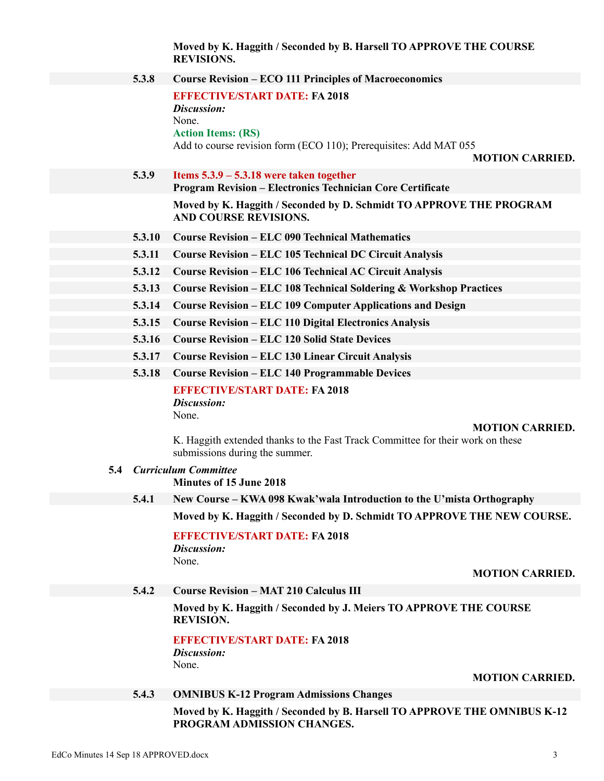**Moved by K. Haggith / Seconded by B. Harsell TO APPROVE THE COURSE REVISIONS.**

|     |        | INE V IDIUIVD.                                                                                                                                                           |
|-----|--------|--------------------------------------------------------------------------------------------------------------------------------------------------------------------------|
|     | 5.3.8  | <b>Course Revision – ECO 111 Principles of Macroeconomics</b>                                                                                                            |
|     |        | <b>EFFECTIVE/START DATE: FA 2018</b><br>Discussion:<br>None.<br><b>Action Items: (RS)</b><br>Add to course revision form (ECO 110); Prerequisites: Add MAT 055           |
|     |        | <b>MOTION CARRIED.</b>                                                                                                                                                   |
|     | 5.3.9  | Items $5.3.9 - 5.3.18$ were taken together<br><b>Program Revision - Electronics Technician Core Certificate</b>                                                          |
|     |        | Moved by K. Haggith / Seconded by D. Schmidt TO APPROVE THE PROGRAM<br><b>AND COURSE REVISIONS.</b>                                                                      |
|     | 5.3.10 | <b>Course Revision – ELC 090 Technical Mathematics</b>                                                                                                                   |
|     | 5.3.11 | <b>Course Revision - ELC 105 Technical DC Circuit Analysis</b>                                                                                                           |
|     | 5.3.12 | <b>Course Revision - ELC 106 Technical AC Circuit Analysis</b>                                                                                                           |
|     | 5.3.13 | <b>Course Revision - ELC 108 Technical Soldering &amp; Workshop Practices</b>                                                                                            |
|     | 5.3.14 | <b>Course Revision - ELC 109 Computer Applications and Design</b>                                                                                                        |
|     | 5.3.15 | <b>Course Revision – ELC 110 Digital Electronics Analysis</b>                                                                                                            |
|     | 5.3.16 | <b>Course Revision – ELC 120 Solid State Devices</b>                                                                                                                     |
|     | 5.3.17 | <b>Course Revision - ELC 130 Linear Circuit Analysis</b>                                                                                                                 |
|     | 5.3.18 | <b>Course Revision - ELC 140 Programmable Devices</b>                                                                                                                    |
|     |        | <b>EFFECTIVE/START DATE: FA 2018</b><br>Discussion:<br>None.<br><b>MOTION CARRIED.</b><br>K. Haggith extended thanks to the Fast Track Committee for their work on these |
|     |        | submissions during the summer.                                                                                                                                           |
| 5.4 |        | <b>Curriculum Committee</b><br><b>Minutes of 15 June 2018</b>                                                                                                            |
|     | 5.4.1  | New Course – KWA 098 Kwak'wala Introduction to the U'mista Orthography                                                                                                   |
|     |        | Moved by K. Haggith / Seconded by D. Schmidt TO APPROVE THE NEW COURSE.                                                                                                  |
|     |        | <b>EFFECTIVE/START DATE: FA 2018</b><br>Discussion:<br>None.                                                                                                             |
|     |        | <b>MOTION CARRIED.</b>                                                                                                                                                   |
|     | 5.4.2  | <b>Course Revision - MAT 210 Calculus III</b>                                                                                                                            |
|     |        | Moved by K. Haggith / Seconded by J. Meiers TO APPROVE THE COURSE<br><b>REVISION.</b>                                                                                    |
|     |        | <b>EFFECTIVE/START DATE: FA 2018</b><br>Discussion:<br>None.                                                                                                             |
|     |        | <b>MOTION CARRIED.</b>                                                                                                                                                   |

### **5.4.3 OMNIBUS K-12 Program Admissions Changes**

**Moved by K. Haggith / Seconded by B. Harsell TO APPROVE THE OMNIBUS K-12 PROGRAM ADMISSION CHANGES.**